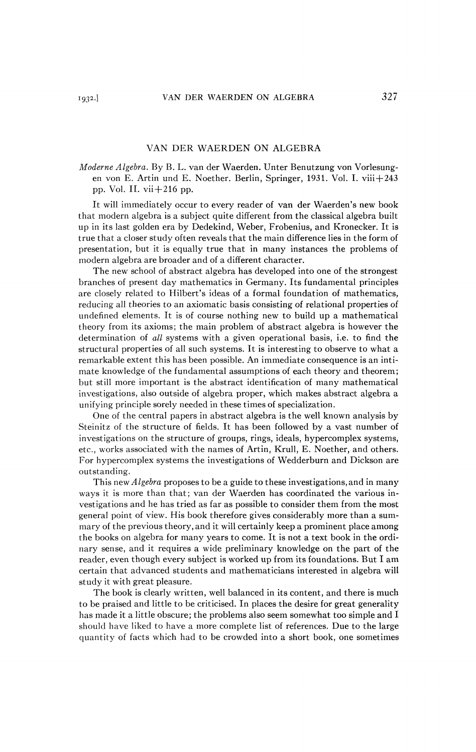## VAN DER WAERDEN ON ALGEBRA

*Moderne Algebra.* By B. L. van der Waerden. Unter Benutzung von Vorlesungen von E. Artin und E. Noether. Berlin, Springer, 1931. Vol. I. viii+243 pp. Vol. II. vii $+216$  pp.

It will immediately occur to every reader of van der Waerden's new book that modern algebra is a subject quite different from the classical algebra built up in its last golden era by Dedekind, Weber, Frobenius, and Kronecker. It is true that a closer study often reveals that the main difference lies in the form of presentation, but it is equally true that in many instances the problems of modern algebra are broader and of a different character.

The new school of abstract algebra has developed into one of the strongest branches of present day mathematics in Germany. Its fundamental principles are closely related to Hubert's ideas of a formal foundation of mathematics, reducing all theories to an axiomatic basis consisting of relational properties of undefined elements. It is of course nothing new to build up a mathematical theory from its axioms; the main problem of abstract algebra is however the determination of *all* systems with a given operational basis, i.e. to find the structural properties of all such systems. It is interesting to observe to what a remarkable extent this has been possible. An immediate consequence is an intimate knowledge of the fundamental assumptions of each theory and theorem; but still more important is the abstract identification of many mathematical investigations, also outside of algebra proper, which makes abstract algebra a unifying principle sorely needed in these times of specialization.

One of the central papers in abstract algebra is the well known analysis by Steinitz of the structure of fields. It has been followed by a vast number of investigations on the structure of groups, rings, ideals, hypercomplex systems, etc., works associated with the names of Artin, Krull, E. Noether, and others. For hypercomplex systems the investigations of Wedderburn and Dickson are outstanding.

This *new Algebra* proposes to be a guide to these investigations, and in many ways it is more than that; van der Waerden has coordinated the various investigations and he has tried as far as possible to consider them from the most general point of view. His book therefore gives considerably more than a summary of the previous theory, and it will certainly keep a prominent place among the books on algebra for many years to come. It is not a text book in the ordinary sense, and it requires a wide preliminary knowledge on the part of the reader, even though every subject is worked up from its foundations. But I am certain that advanced students and mathematicians interested in algebra will study it with great pleasure.

The book is clearly written, well balanced in its content, and there is much to be praised and little to be criticised. In places the desire for great generality has made it a little obscure; the problems also seem somewhat too simple and I should have liked to have a more complete list of references. Due to the large quantity of facts which had to be crowded into a short book, one sometimes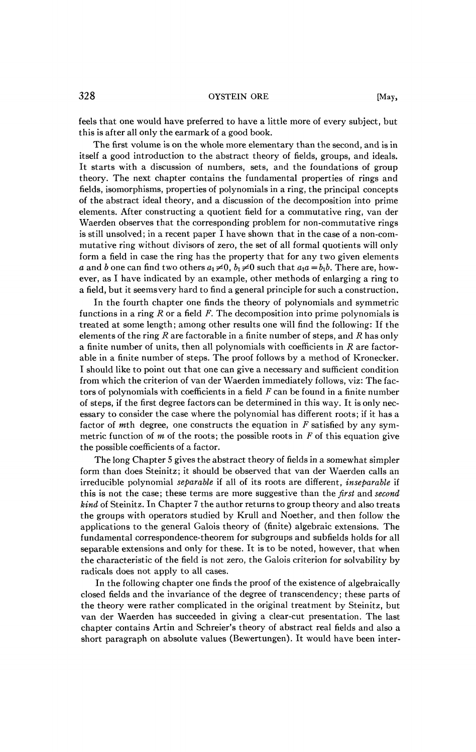feels that one would have preferred to have a little more of every subject, but this is after all only the earmark of a good book.

The first volume is on the whole more elementary than the second, and is in itself a good introduction to the abstract theory of fields, groups, and ideals. It starts with a discussion of numbers, sets, and the foundations of group theory. The next chapter contains the fundamental properties of rings and fields, isomorphisms, properties of polynomials in a ring, the principal concepts of the abstract ideal theory, and a discussion of the decomposition into prime elements. After constructing a quotient field for a commutative ring, van der Waerden observes that the corresponding problem for non-commutative rings is still unsolved; in a recent paper I have shown that in the case of a non-commutative ring without divisors of zero, the set of all formal quotients will only form a field in case the ring has the property that for any two given elements *a* and *b* one can find two others  $a_1 \neq 0$ ,  $b_1 \neq 0$  such that  $a_1 a = b_1 b$ . There are, however, as I have indicated by an example, other methods of enlarging a ring to a field, but it seemsvery hard to find a general principle for such a construction.

In the fourth chapter one finds the theory of polynomials and symmetric functions in a ring *R* or a field *F.* The decomposition into prime polynomials is treated at some length; among other results one will find the following: If the elements of the ring *R* are factorable in a finite number of steps, and *R* has only a finite number of units, then all polynomials with coefficients in *R* are factorable in a finite number of steps. The proof follows by a method of Kronecker. I should like to point out that one can give a necessary and sufficient condition from which the criterion of van der Waerden immediately follows, viz: The factors of polynomials with coefficients in a field *F* can be found in a finite number of steps, if the first degree factors can be determined in this way. It is only necessary to consider the case where the polynomial has different roots; if it has a factor of mth degree, one constructs the equation in *F* satisfied by any symmetric function of *m* of the roots; the possible roots in *F* of this equation give the possible coefficients of a factor.

The long Chapter 5 gives the abstract theory of fields in a somewhat simpler form than does Steinitz; it should be observed that van der Waerden calls an irreducible polynomial *separable* if all of its roots are different, *inseparable* if this is not the case; these terms are more suggestive than the *first* and *second kind* of Steinitz. In Chapter 7 the author returns to group theory and also treats the groups with operators studied by Krull and Noether, and then follow the applications to the general Galois theory of (finite) algebraic extensions. The fundamental correspondence-theorem for subgroups and subfields holds for all separable extensions and only for these. It is to be noted, however, that when the characteristic of the field is not zero, the Galois criterion for solvability by radicals does not apply to all cases.

In the following chapter one finds the proof of the existence of algebraically closed fields and the invariance of the degree of transcendency; these parts of the theory were rather complicated in the original treatment by Steinitz, but van der Waerden has succeeded in giving a clear-cut presentation. The last chapter contains Artin and Schreier's theory of abstract real fields and also a short paragraph on absolute values (Bewertungen). It would have been inter